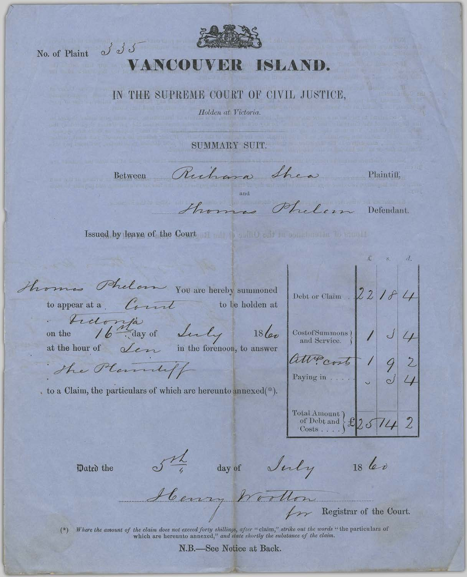

No. of Plaint J J J

## VANCOUVER ISLAND.

## IN THE SUPREME COURT OF CIVIL JUSTICE,

Holden at Victoria.

SUMMARY SUIT.

Between Richard Shew

Plaintiff,

me Philim Defendant.

Issued by leave of the Court of the Count of the County of the County of the County of the County of the County of the County of the County of the County of the County of the County of the County of the County of the Count

thomas Phelon You are hereby summoned to appear at a Count to be holden at

on the 16 day of Lucy

 $18\ell_{0}$ 

at the hour of Lem in the forenoon, to answer

The Planney

to a Claim, the particulars of which are hereunto annexed(\*).

| Debt or Claim $22181$                           |            |     |
|-------------------------------------------------|------------|-----|
| CostofSummons)<br>and Service.                  | $\sqrt{2}$ | J/4 |
| attrocosts<br>Paying in                         |            |     |
| Total Amount)<br>of Debt and $\&25742$<br>Costs |            |     |

Dated the

Str day of July

 $1860$ 

Henry Worthon Registrar of the Court.

Where the amount of the claim does not exceed forty shillings, after "claim," strike out the words "the particulars of which are hereunto annexed," and state shortly the substance of the claim.

N.B.—See Notice at Back.